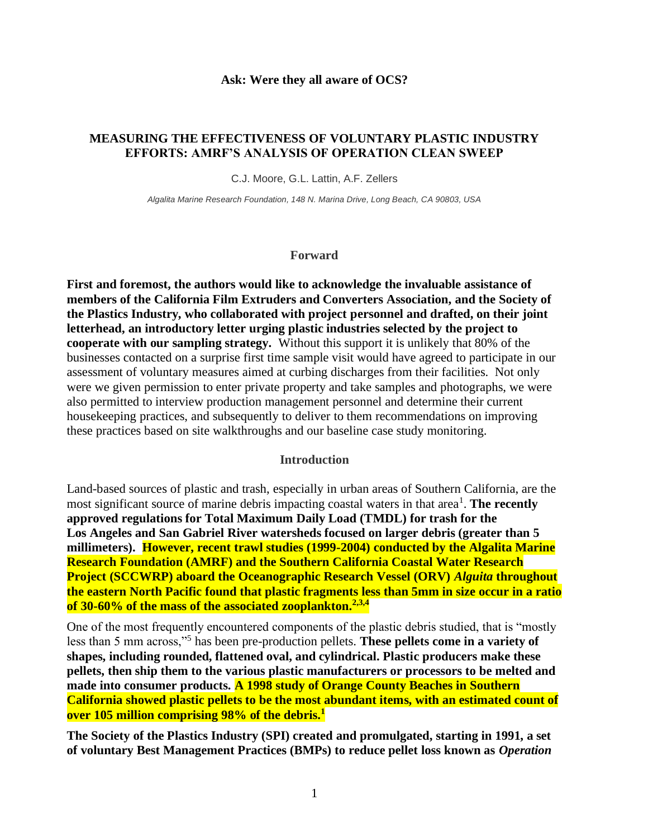#### **Ask: Were they all aware of OCS?**

#### **MEASURING THE EFFECTIVENESS OF VOLUNTARY PLASTIC INDUSTRY EFFORTS: AMRF'S ANALYSIS OF OPERATION CLEAN SWEEP**

C.J. Moore, G.L. Lattin, A.F. Zellers

*Algalita Marine Research Foundation, 148 N. Marina Drive, Long Beach, CA 90803, USA*

#### **Forward**

**First and foremost, the authors would like to acknowledge the invaluable assistance of members of the California Film Extruders and Converters Association, and the Society of the Plastics Industry, who collaborated with project personnel and drafted, on their joint letterhead, an introductory letter urging plastic industries selected by the project to cooperate with our sampling strategy.** Without this support it is unlikely that 80% of the businesses contacted on a surprise first time sample visit would have agreed to participate in our assessment of voluntary measures aimed at curbing discharges from their facilities. Not only were we given permission to enter private property and take samples and photographs, we were also permitted to interview production management personnel and determine their current housekeeping practices, and subsequently to deliver to them recommendations on improving these practices based on site walkthroughs and our baseline case study monitoring.

#### **Introduction**

Land-based sources of plastic and trash, especially in urban areas of Southern California, are the most significant source of marine debris impacting coastal waters in that area<sup>1</sup>. The recently **approved regulations for Total Maximum Daily Load (TMDL) for trash for the Los Angeles and San Gabriel River watersheds focused on larger debris (greater than 5 millimeters). However, recent trawl studies (1999-2004) conducted by the Algalita Marine Research Foundation (AMRF) and the Southern California Coastal Water Research Project (SCCWRP) aboard the Oceanographic Research Vessel (ORV)** *Alguita* **throughout the eastern North Pacific found that plastic fragments less than 5mm in size occur in a ratio of 30-60% of the mass of the associated zooplankton.2,3,4**

One of the most frequently encountered components of the plastic debris studied, that is "mostly less than 5 mm across,"<sup>5</sup> has been pre-production pellets. **These pellets come in a variety of shapes, including rounded, flattened oval, and cylindrical. Plastic producers make these pellets, then ship them to the various plastic manufacturers or processors to be melted and made into consumer products. A 1998 study of Orange County Beaches in Southern California showed plastic pellets to be the most abundant items, with an estimated count of over 105 million comprising 98% of the debris.<sup>1</sup>**

**The Society of the Plastics Industry (SPI) created and promulgated, starting in 1991, a set of voluntary Best Management Practices (BMPs) to reduce pellet loss known as** *Operation*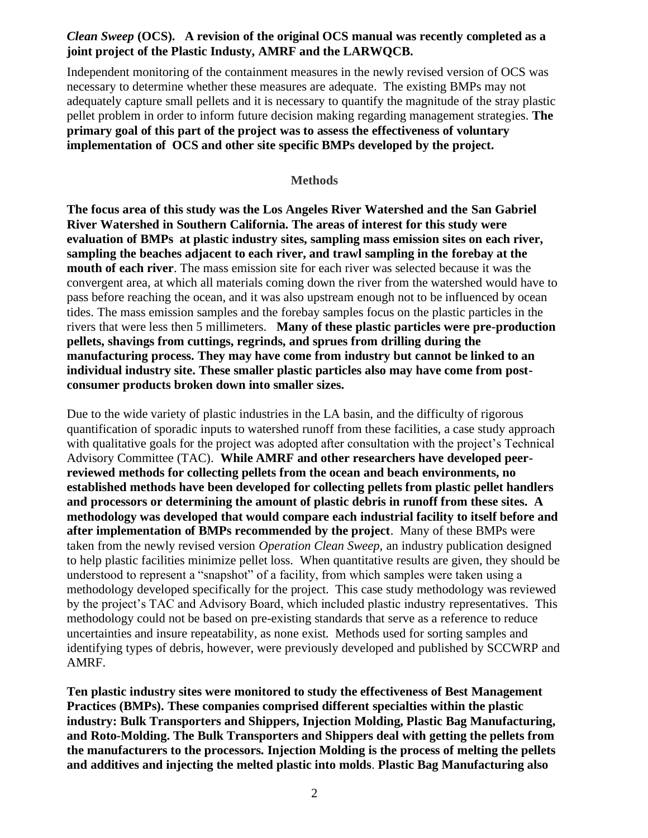# *Clean Sweep* **(OCS). A revision of the original OCS manual was recently completed as a joint project of the Plastic Industy, AMRF and the LARWQCB.**

Independent monitoring of the containment measures in the newly revised version of OCS was necessary to determine whether these measures are adequate. The existing BMPs may not adequately capture small pellets and it is necessary to quantify the magnitude of the stray plastic pellet problem in order to inform future decision making regarding management strategies. **The primary goal of this part of the project was to assess the effectiveness of voluntary implementation of OCS and other site specific BMPs developed by the project.**

#### **Methods**

**The focus area of this study was the Los Angeles River Watershed and the San Gabriel River Watershed in Southern California. The areas of interest for this study were evaluation of BMPs at plastic industry sites, sampling mass emission sites on each river, sampling the beaches adjacent to each river, and trawl sampling in the forebay at the mouth of each river**. The mass emission site for each river was selected because it was the convergent area, at which all materials coming down the river from the watershed would have to pass before reaching the ocean, and it was also upstream enough not to be influenced by ocean tides. The mass emission samples and the forebay samples focus on the plastic particles in the rivers that were less then 5 millimeters. **Many of these plastic particles were pre-production pellets, shavings from cuttings, regrinds, and sprues from drilling during the manufacturing process. They may have come from industry but cannot be linked to an individual industry site. These smaller plastic particles also may have come from postconsumer products broken down into smaller sizes.** 

Due to the wide variety of plastic industries in the LA basin, and the difficulty of rigorous quantification of sporadic inputs to watershed runoff from these facilities, a case study approach with qualitative goals for the project was adopted after consultation with the project's Technical Advisory Committee (TAC). **While AMRF and other researchers have developed peerreviewed methods for collecting pellets from the ocean and beach environments, no established methods have been developed for collecting pellets from plastic pellet handlers and processors or determining the amount of plastic debris in runoff from these sites. A methodology was developed that would compare each industrial facility to itself before and after implementation of BMPs recommended by the project**. Many of these BMPs were taken from the newly revised version *Operation Clean Sweep,* an industry publication designed to help plastic facilities minimize pellet loss. When quantitative results are given, they should be understood to represent a "snapshot" of a facility, from which samples were taken using a methodology developed specifically for the project. This case study methodology was reviewed by the project's TAC and Advisory Board, which included plastic industry representatives. This methodology could not be based on pre-existing standards that serve as a reference to reduce uncertainties and insure repeatability, as none exist. Methods used for sorting samples and identifying types of debris, however, were previously developed and published by SCCWRP and AMRF.

**Ten plastic industry sites were monitored to study the effectiveness of Best Management Practices (BMPs). These companies comprised different specialties within the plastic industry: Bulk Transporters and Shippers, Injection Molding, Plastic Bag Manufacturing, and Roto-Molding. The Bulk Transporters and Shippers deal with getting the pellets from the manufacturers to the processors. Injection Molding is the process of melting the pellets and additives and injecting the melted plastic into molds**. **Plastic Bag Manufacturing also**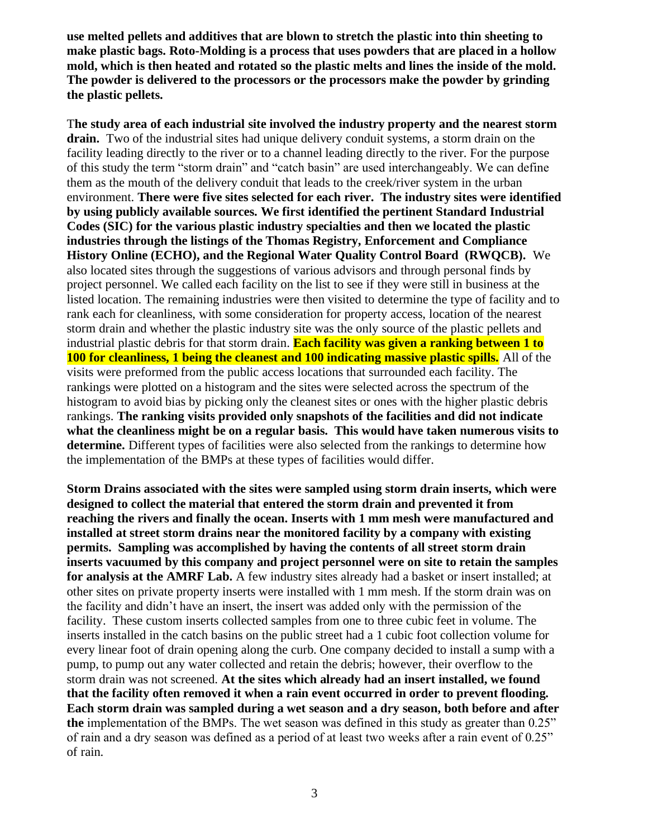**use melted pellets and additives that are blown to stretch the plastic into thin sheeting to make plastic bags. Roto-Molding is a process that uses powders that are placed in a hollow mold, which is then heated and rotated so the plastic melts and lines the inside of the mold. The powder is delivered to the processors or the processors make the powder by grinding the plastic pellets.** 

T**he study area of each industrial site involved the industry property and the nearest storm drain.** Two of the industrial sites had unique delivery conduit systems, a storm drain on the facility leading directly to the river or to a channel leading directly to the river. For the purpose of this study the term "storm drain" and "catch basin" are used interchangeably. We can define them as the mouth of the delivery conduit that leads to the creek/river system in the urban environment. **There were five sites selected for each river. The industry sites were identified by using publicly available sources. We first identified the pertinent Standard Industrial Codes (SIC) for the various plastic industry specialties and then we located the plastic industries through the listings of the Thomas Registry, Enforcement and Compliance History Online (ECHO), and the Regional Water Quality Control Board (RWQCB).** We also located sites through the suggestions of various advisors and through personal finds by project personnel. We called each facility on the list to see if they were still in business at the listed location. The remaining industries were then visited to determine the type of facility and to rank each for cleanliness, with some consideration for property access, location of the nearest storm drain and whether the plastic industry site was the only source of the plastic pellets and industrial plastic debris for that storm drain. **Each facility was given a ranking between 1 to 100 for cleanliness, 1 being the cleanest and 100 indicating massive plastic spills.** All of the visits were preformed from the public access locations that surrounded each facility. The rankings were plotted on a histogram and the sites were selected across the spectrum of the histogram to avoid bias by picking only the cleanest sites or ones with the higher plastic debris rankings. **The ranking visits provided only snapshots of the facilities and did not indicate what the cleanliness might be on a regular basis. This would have taken numerous visits to determine.** Different types of facilities were also selected from the rankings to determine how the implementation of the BMPs at these types of facilities would differ.

**Storm Drains associated with the sites were sampled using storm drain inserts, which were designed to collect the material that entered the storm drain and prevented it from reaching the rivers and finally the ocean. Inserts with 1 mm mesh were manufactured and installed at street storm drains near the monitored facility by a company with existing permits. Sampling was accomplished by having the contents of all street storm drain inserts vacuumed by this company and project personnel were on site to retain the samples for analysis at the AMRF Lab.** A few industry sites already had a basket or insert installed; at other sites on private property inserts were installed with 1 mm mesh. If the storm drain was on the facility and didn't have an insert, the insert was added only with the permission of the facility. These custom inserts collected samples from one to three cubic feet in volume. The inserts installed in the catch basins on the public street had a 1 cubic foot collection volume for every linear foot of drain opening along the curb. One company decided to install a sump with a pump, to pump out any water collected and retain the debris; however, their overflow to the storm drain was not screened. **At the sites which already had an insert installed, we found that the facility often removed it when a rain event occurred in order to prevent flooding. Each storm drain was sampled during a wet season and a dry season, both before and after the** implementation of the BMPs. The wet season was defined in this study as greater than 0.25" of rain and a dry season was defined as a period of at least two weeks after a rain event of 0.25" of rain.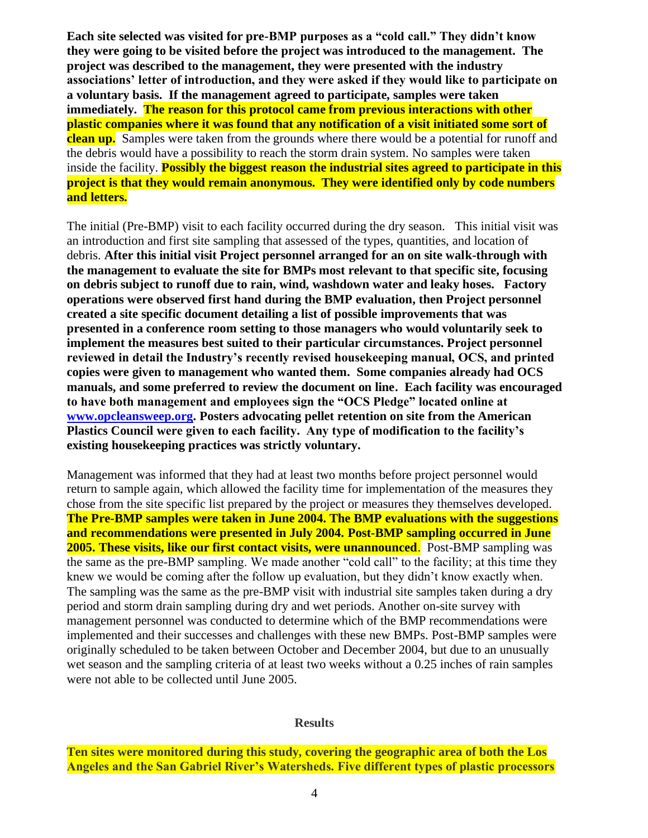**Each site selected was visited for pre-BMP purposes as a "cold call." They didn't know they were going to be visited before the project was introduced to the management. The project was described to the management, they were presented with the industry associations' letter of introduction, and they were asked if they would like to participate on a voluntary basis. If the management agreed to participate, samples were taken immediately. The reason for this protocol came from previous interactions with other plastic companies where it was found that any notification of a visit initiated some sort of clean up.** Samples were taken from the grounds where there would be a potential for runoff and the debris would have a possibility to reach the storm drain system. No samples were taken inside the facility. **Possibly the biggest reason the industrial sites agreed to participate in this project is that they would remain anonymous. They were identified only by code numbers and letters.**

The initial (Pre-BMP) visit to each facility occurred during the dry season. This initial visit was an introduction and first site sampling that assessed of the types, quantities, and location of debris. **After this initial visit Project personnel arranged for an on site walk-through with the management to evaluate the site for BMPs most relevant to that specific site, focusing on debris subject to runoff due to rain, wind, washdown water and leaky hoses. Factory operations were observed first hand during the BMP evaluation, then Project personnel created a site specific document detailing a list of possible improvements that was presented in a conference room setting to those managers who would voluntarily seek to implement the measures best suited to their particular circumstances. Project personnel reviewed in detail the Industry's recently revised housekeeping manual, OCS, and printed copies were given to management who wanted them. Some companies already had OCS manuals, and some preferred to review the document on line. Each facility was encouraged to have both management and employees sign the "OCS Pledge" located online at [www.opcleansweep.org.](http://www.opcleansweep.org/) Posters advocating pellet retention on site from the American Plastics Council were given to each facility. Any type of modification to the facility's existing housekeeping practices was strictly voluntary.**

Management was informed that they had at least two months before project personnel would return to sample again, which allowed the facility time for implementation of the measures they chose from the site specific list prepared by the project or measures they themselves developed. **The Pre-BMP samples were taken in June 2004. The BMP evaluations with the suggestions and recommendations were presented in July 2004. Post-BMP sampling occurred in June 2005. These visits, like our first contact visits, were unannounced.** Post-BMP sampling was the same as the pre-BMP sampling. We made another "cold call" to the facility; at this time they knew we would be coming after the follow up evaluation, but they didn't know exactly when. The sampling was the same as the pre-BMP visit with industrial site samples taken during a dry period and storm drain sampling during dry and wet periods. Another on-site survey with management personnel was conducted to determine which of the BMP recommendations were implemented and their successes and challenges with these new BMPs. Post-BMP samples were originally scheduled to be taken between October and December 2004, but due to an unusually wet season and the sampling criteria of at least two weeks without a 0.25 inches of rain samples were not able to be collected until June 2005.

#### **Results**

**Ten sites were monitored during this study, covering the geographic area of both the Los Angeles and the San Gabriel River's Watersheds. Five different types of plastic processors**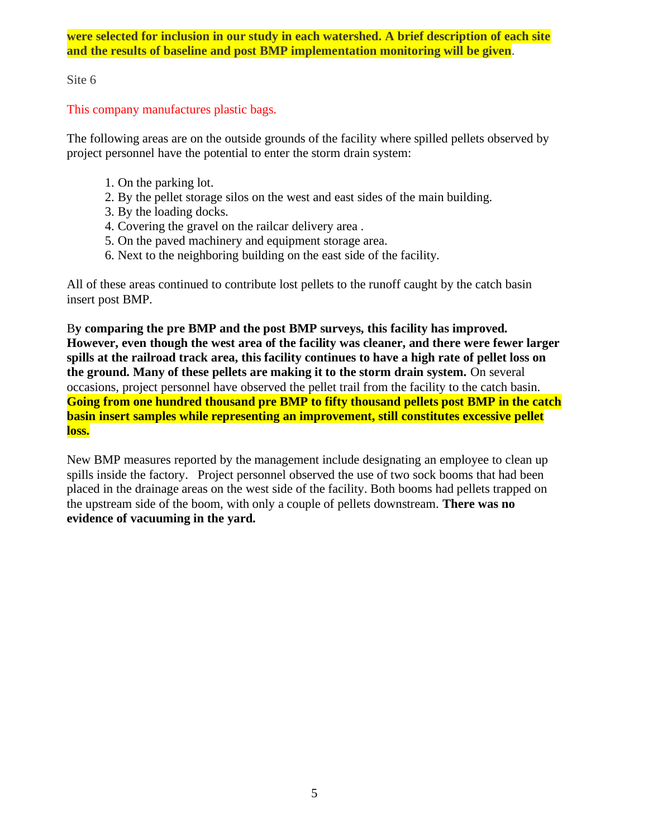**were selected for inclusion in our study in each watershed. A brief description of each site and the results of baseline and post BMP implementation monitoring will be given**.

Site 6

This company manufactures plastic bags.

The following areas are on the outside grounds of the facility where spilled pellets observed by project personnel have the potential to enter the storm drain system:

- 1. On the parking lot.
- 2. By the pellet storage silos on the west and east sides of the main building.
- 3. By the loading docks.
- 4. Covering the gravel on the railcar delivery area .
- 5. On the paved machinery and equipment storage area.
- 6. Next to the neighboring building on the east side of the facility.

All of these areas continued to contribute lost pellets to the runoff caught by the catch basin insert post BMP.

B**y comparing the pre BMP and the post BMP surveys, this facility has improved. However, even though the west area of the facility was cleaner, and there were fewer larger spills at the railroad track area, this facility continues to have a high rate of pellet loss on the ground. Many of these pellets are making it to the storm drain system.** On several occasions, project personnel have observed the pellet trail from the facility to the catch basin. **Going from one hundred thousand pre BMP to fifty thousand pellets post BMP in the catch basin insert samples while representing an improvement, still constitutes excessive pellet loss.**

New BMP measures reported by the management include designating an employee to clean up spills inside the factory. Project personnel observed the use of two sock booms that had been placed in the drainage areas on the west side of the facility. Both booms had pellets trapped on the upstream side of the boom, with only a couple of pellets downstream. **There was no evidence of vacuuming in the yard.**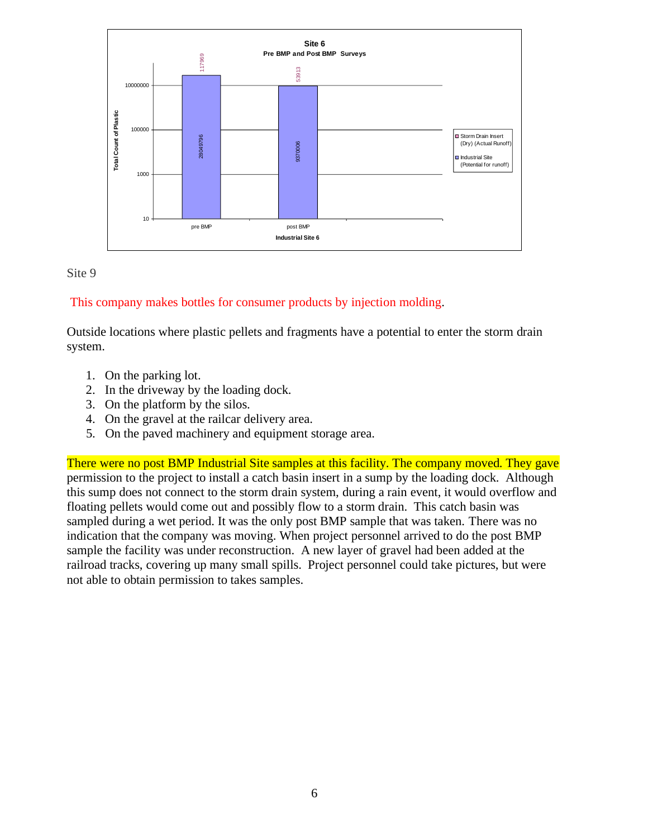



# This company makes bottles for consumer products by injection molding.

Outside locations where plastic pellets and fragments have a potential to enter the storm drain system.

- 1. On the parking lot.
- 2. In the driveway by the loading dock.
- 3. On the platform by the silos.
- 4. On the gravel at the railcar delivery area.
- 5. On the paved machinery and equipment storage area.

There were no post BMP Industrial Site samples at this facility. The company moved. They gave permission to the project to install a catch basin insert in a sump by the loading dock. Although this sump does not connect to the storm drain system, during a rain event, it would overflow and floating pellets would come out and possibly flow to a storm drain. This catch basin was sampled during a wet period. It was the only post BMP sample that was taken. There was no indication that the company was moving. When project personnel arrived to do the post BMP sample the facility was under reconstruction. A new layer of gravel had been added at the railroad tracks, covering up many small spills. Project personnel could take pictures, but were not able to obtain permission to takes samples.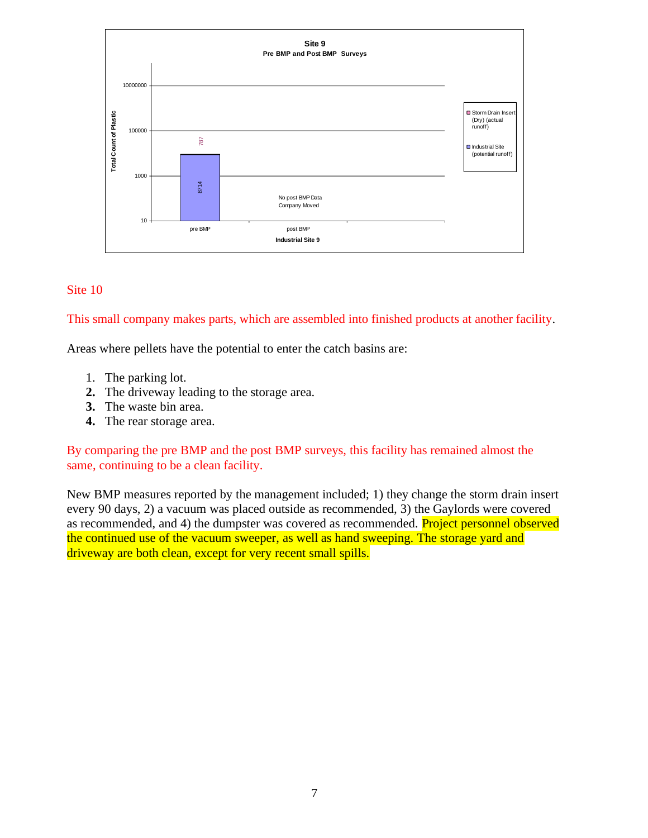

#### Site 10

This small company makes parts, which are assembled into finished products at another facility.

Areas where pellets have the potential to enter the catch basins are:

- 1. The parking lot.
- **2.** The driveway leading to the storage area.
- **3.** The waste bin area.
- **4.** The rear storage area.

By comparing the pre BMP and the post BMP surveys, this facility has remained almost the same, continuing to be a clean facility.

New BMP measures reported by the management included; 1) they change the storm drain insert every 90 days, 2) a vacuum was placed outside as recommended, 3) the Gaylords were covered as recommended, and 4) the dumpster was covered as recommended. Project personnel observed the continued use of the vacuum sweeper, as well as hand sweeping. The storage yard and driveway are both clean, except for very recent small spills.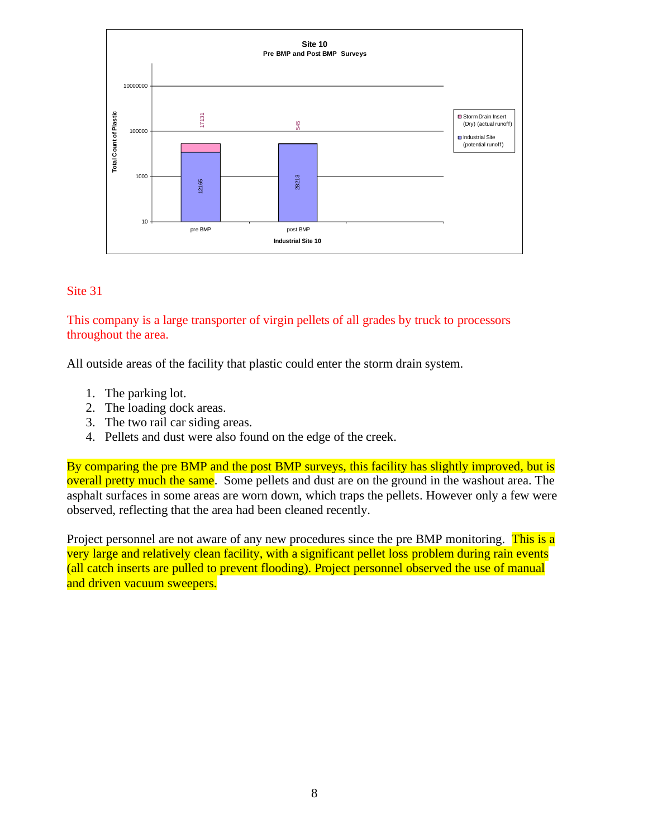

#### Site 31

# This company is a large transporter of virgin pellets of all grades by truck to processors throughout the area.

All outside areas of the facility that plastic could enter the storm drain system.

- 1. The parking lot.
- 2. The loading dock areas.
- 3. The two rail car siding areas.
- 4. Pellets and dust were also found on the edge of the creek.

By comparing the pre BMP and the post BMP surveys, this facility has slightly improved, but is overall pretty much the same. Some pellets and dust are on the ground in the washout area. The asphalt surfaces in some areas are worn down, which traps the pellets. However only a few were observed, reflecting that the area had been cleaned recently.

Project personnel are not aware of any new procedures since the pre BMP monitoring. This is a very large and relatively clean facility, with a significant pellet loss problem during rain events (all catch inserts are pulled to prevent flooding). Project personnel observed the use of manual and driven vacuum sweepers.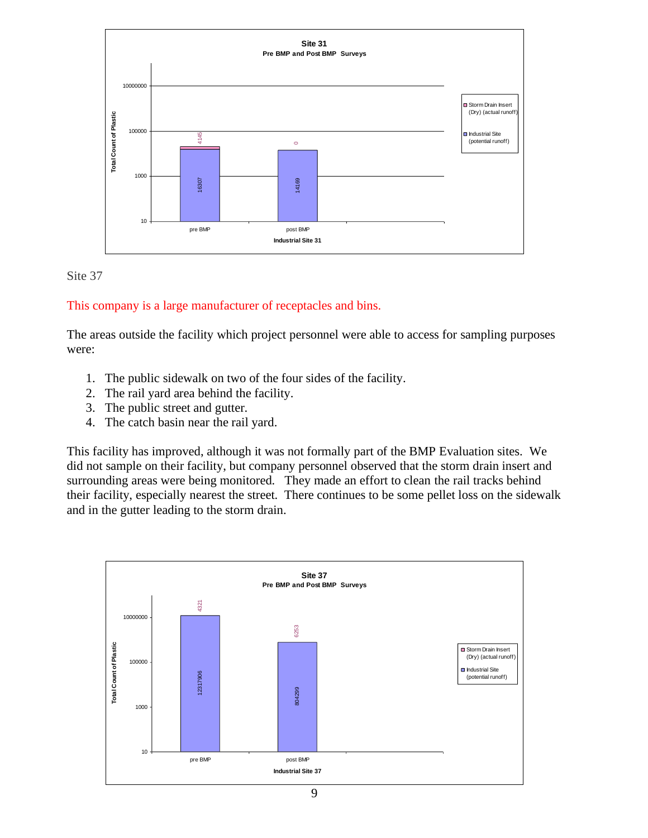



#### This company is a large manufacturer of receptacles and bins.

The areas outside the facility which project personnel were able to access for sampling purposes were:

- 1. The public sidewalk on two of the four sides of the facility.
- 2. The rail yard area behind the facility.
- 3. The public street and gutter.
- 4. The catch basin near the rail yard.

This facility has improved, although it was not formally part of the BMP Evaluation sites. We did not sample on their facility, but company personnel observed that the storm drain insert and surrounding areas were being monitored. They made an effort to clean the rail tracks behind their facility, especially nearest the street. There continues to be some pellet loss on the sidewalk and in the gutter leading to the storm drain.

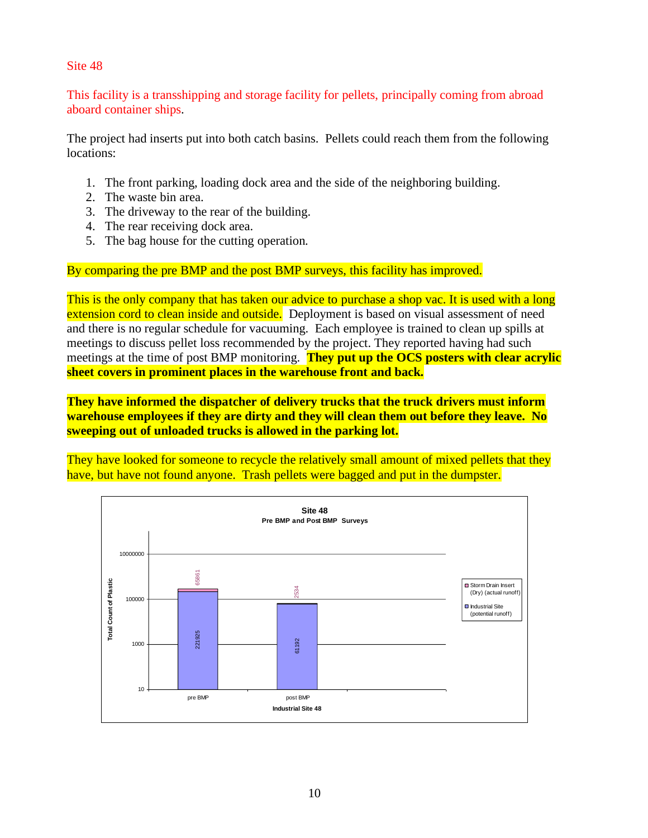Site 48

This facility is a transshipping and storage facility for pellets, principally coming from abroad aboard container ships.

The project had inserts put into both catch basins. Pellets could reach them from the following locations:

- 1. The front parking, loading dock area and the side of the neighboring building.
- 2. The waste bin area.
- 3. The driveway to the rear of the building.
- 4. The rear receiving dock area.
- 5. The bag house for the cutting operation.

By comparing the pre BMP and the post BMP surveys, this facility has improved.

This is the only company that has taken our advice to purchase a shop vac. It is used with a long extension cord to clean inside and outside. Deployment is based on visual assessment of need and there is no regular schedule for vacuuming. Each employee is trained to clean up spills at meetings to discuss pellet loss recommended by the project. They reported having had such meetings at the time of post BMP monitoring. **They put up the OCS posters with clear acrylic sheet covers in prominent places in the warehouse front and back.**

**They have informed the dispatcher of delivery trucks that the truck drivers must inform warehouse employees if they are dirty and they will clean them out before they leave. No sweeping out of unloaded trucks is allowed in the parking lot.**

They have looked for someone to recycle the relatively small amount of mixed pellets that they have, but have not found anyone. Trash pellets were bagged and put in the dumpster.

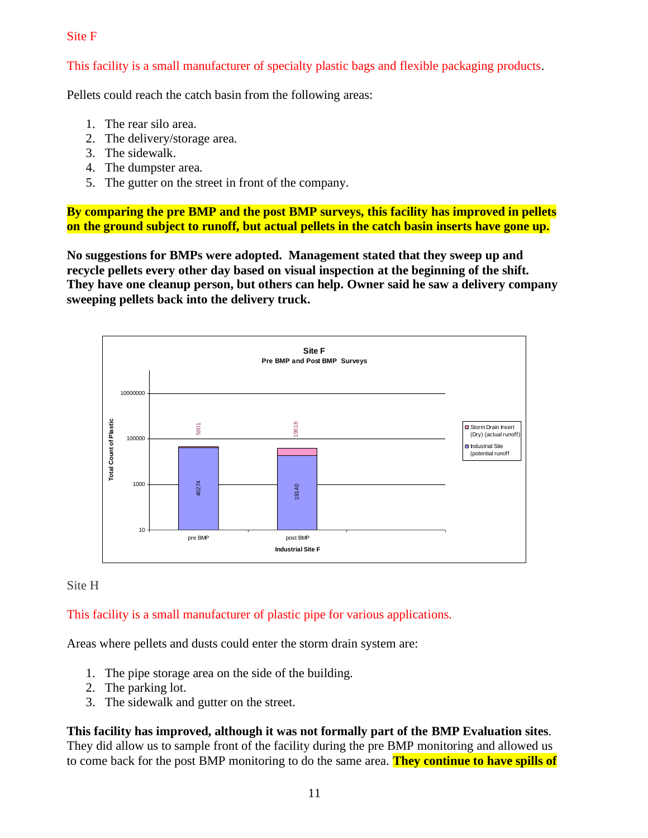#### Site F

This facility is a small manufacturer of specialty plastic bags and flexible packaging products.

Pellets could reach the catch basin from the following areas:

- 1. The rear silo area.
- 2. The delivery/storage area.
- 3. The sidewalk.
- 4. The dumpster area.
- 5. The gutter on the street in front of the company.

**By comparing the pre BMP and the post BMP surveys, this facility has improved in pellets on the ground subject to runoff, but actual pellets in the catch basin inserts have gone up.**

**No suggestions for BMPs were adopted. Management stated that they sweep up and recycle pellets every other day based on visual inspection at the beginning of the shift. They have one cleanup person, but others can help. Owner said he saw a delivery company sweeping pellets back into the delivery truck.**



# Site H

# This facility is a small manufacturer of plastic pipe for various applications.

Areas where pellets and dusts could enter the storm drain system are:

- 1. The pipe storage area on the side of the building.
- 2. The parking lot.
- 3. The sidewalk and gutter on the street.

**This facility has improved, although it was not formally part of the BMP Evaluation sites**. They did allow us to sample front of the facility during the pre BMP monitoring and allowed us to come back for the post BMP monitoring to do the same area. **They continue to have spills of**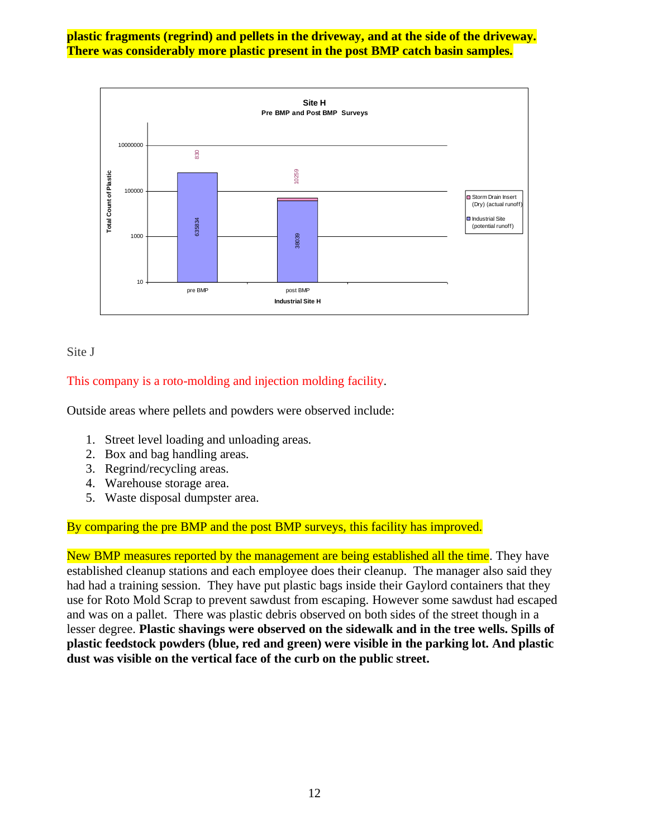**plastic fragments (regrind) and pellets in the driveway, and at the side of the driveway. There was considerably more plastic present in the post BMP catch basin samples.**



Site J

# This company is a roto-molding and injection molding facility.

Outside areas where pellets and powders were observed include:

- 1. Street level loading and unloading areas.
- 2. Box and bag handling areas.
- 3. Regrind/recycling areas.
- 4. Warehouse storage area.
- 5. Waste disposal dumpster area.

# By comparing the pre BMP and the post BMP surveys, this facility has improved.

New BMP measures reported by the management are being established all the time. They have established cleanup stations and each employee does their cleanup. The manager also said they had had a training session. They have put plastic bags inside their Gaylord containers that they use for Roto Mold Scrap to prevent sawdust from escaping. However some sawdust had escaped and was on a pallet. There was plastic debris observed on both sides of the street though in a lesser degree. **Plastic shavings were observed on the sidewalk and in the tree wells. Spills of plastic feedstock powders (blue, red and green) were visible in the parking lot. And plastic dust was visible on the vertical face of the curb on the public street.**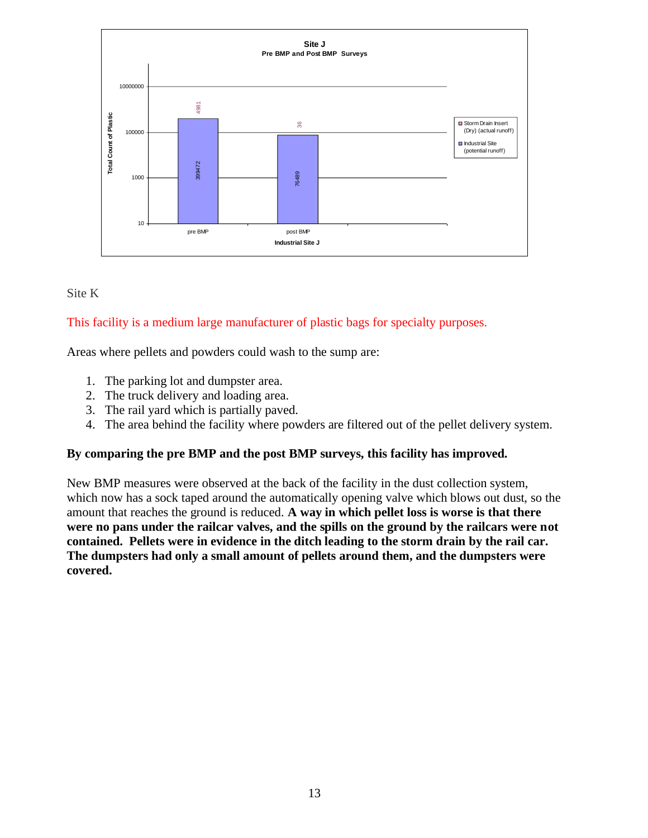

#### Site K

# This facility is a medium large manufacturer of plastic bags for specialty purposes.

Areas where pellets and powders could wash to the sump are:

- 1. The parking lot and dumpster area.
- 2. The truck delivery and loading area.
- 3. The rail yard which is partially paved.
- 4. The area behind the facility where powders are filtered out of the pellet delivery system.

# **By comparing the pre BMP and the post BMP surveys, this facility has improved.**

New BMP measures were observed at the back of the facility in the dust collection system, which now has a sock taped around the automatically opening valve which blows out dust, so the amount that reaches the ground is reduced. **A way in which pellet loss is worse is that there were no pans under the railcar valves, and the spills on the ground by the railcars were not contained. Pellets were in evidence in the ditch leading to the storm drain by the rail car. The dumpsters had only a small amount of pellets around them, and the dumpsters were covered.**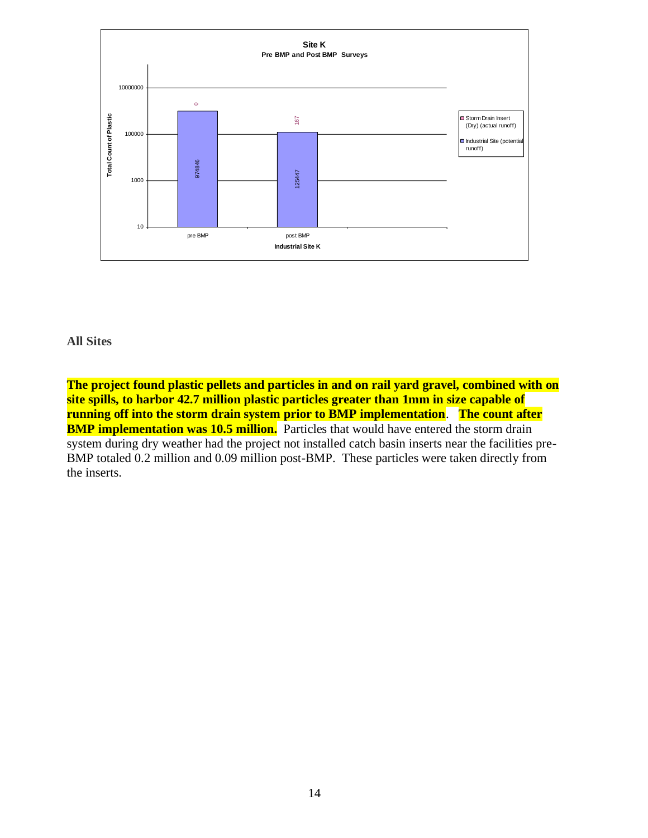

#### **All Sites**

**The project found plastic pellets and particles in and on rail yard gravel, combined with on site spills, to harbor 42.7 million plastic particles greater than 1mm in size capable of running off into the storm drain system prior to BMP implementation**. **The count after BMP implementation was 10.5 million.** Particles that would have entered the storm drain system during dry weather had the project not installed catch basin inserts near the facilities pre-BMP totaled 0.2 million and 0.09 million post-BMP. These particles were taken directly from the inserts.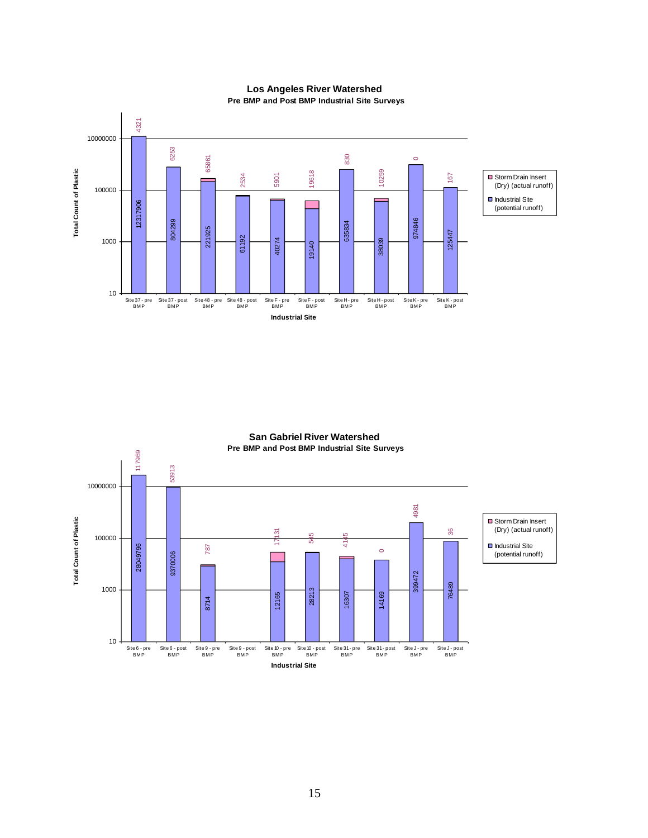

#### **Los Angeles River Watershed Pre BMP and Post BMP Industrial Site Surveys**

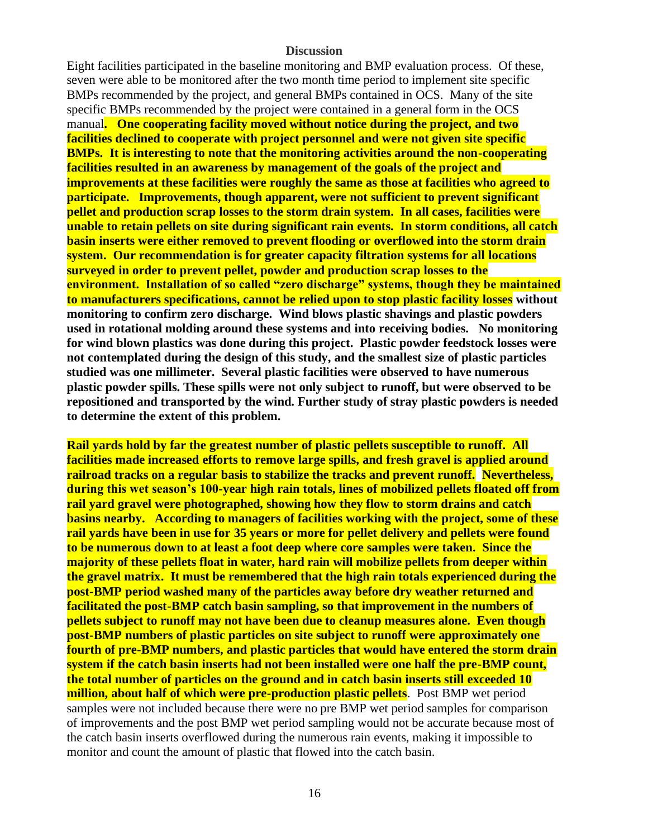#### **Discussion**

Eight facilities participated in the baseline monitoring and BMP evaluation process. Of these, seven were able to be monitored after the two month time period to implement site specific BMPs recommended by the project, and general BMPs contained in OCS. Many of the site specific BMPs recommended by the project were contained in a general form in the OCS manual**. One cooperating facility moved without notice during the project, and two facilities declined to cooperate with project personnel and were not given site specific BMPs. It is interesting to note that the monitoring activities around the non-cooperating facilities resulted in an awareness by management of the goals of the project and improvements at these facilities were roughly the same as those at facilities who agreed to participate. Improvements, though apparent, were not sufficient to prevent significant pellet and production scrap losses to the storm drain system. In all cases, facilities were unable to retain pellets on site during significant rain events. In storm conditions, all catch basin inserts were either removed to prevent flooding or overflowed into the storm drain system. Our recommendation is for greater capacity filtration systems for all locations surveyed in order to prevent pellet, powder and production scrap losses to the environment. Installation of so called "zero discharge" systems, though they be maintained to manufacturers specifications, cannot be relied upon to stop plastic facility losses without monitoring to confirm zero discharge. Wind blows plastic shavings and plastic powders used in rotational molding around these systems and into receiving bodies. No monitoring for wind blown plastics was done during this project. Plastic powder feedstock losses were not contemplated during the design of this study, and the smallest size of plastic particles studied was one millimeter. Several plastic facilities were observed to have numerous plastic powder spills. These spills were not only subject to runoff, but were observed to be repositioned and transported by the wind. Further study of stray plastic powders is needed to determine the extent of this problem.**

**Rail yards hold by far the greatest number of plastic pellets susceptible to runoff. All facilities made increased efforts to remove large spills, and fresh gravel is applied around railroad tracks on a regular basis to stabilize the tracks and prevent runoff. Nevertheless, during this wet season's 100-year high rain totals, lines of mobilized pellets floated off from rail yard gravel were photographed, showing how they flow to storm drains and catch basins nearby. According to managers of facilities working with the project, some of these rail yards have been in use for 35 years or more for pellet delivery and pellets were found to be numerous down to at least a foot deep where core samples were taken. Since the majority of these pellets float in water, hard rain will mobilize pellets from deeper within the gravel matrix. It must be remembered that the high rain totals experienced during the post-BMP period washed many of the particles away before dry weather returned and facilitated the post-BMP catch basin sampling, so that improvement in the numbers of pellets subject to runoff may not have been due to cleanup measures alone. Even though post-BMP numbers of plastic particles on site subject to runoff were approximately one fourth of pre-BMP numbers, and plastic particles that would have entered the storm drain system if the catch basin inserts had not been installed were one half the pre-BMP count, the total number of particles on the ground and in catch basin inserts still exceeded 10 million, about half of which were pre-production plastic pellets**. Post BMP wet period samples were not included because there were no pre BMP wet period samples for comparison of improvements and the post BMP wet period sampling would not be accurate because most of the catch basin inserts overflowed during the numerous rain events, making it impossible to monitor and count the amount of plastic that flowed into the catch basin.